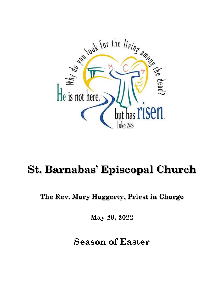

# **St. Barnabas' Episcopal Church**

**The Rev. Mary Haggerty, Priest in Charge**

**May 29, 2022**

**Season of Easter**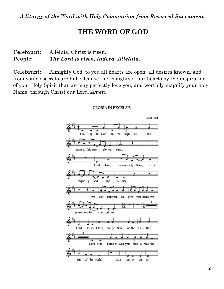## **THE WORD OF GOD**

#### **Celebrant:** Alleluia. Christ is risen. **People:** *The Lord is risen, indeed. Alleluia.*

**Celebrant:** Almighty God, to you all hearts are open, all desires known, and from you no secrets are hid: Cleanse the thoughts of our hearts by the inspiration of your Holy Spirit that we may perfectly love you, and worthily magnify your holy Name; through Christ our Lord. *Amen.*



#### **GLORIA IN EXCELSIS**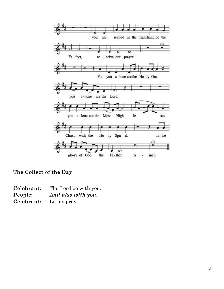

## **The Collect of the Day**

| Celebrant: | The Lord be with you. |
|------------|-----------------------|
| People:    | And also with you.    |
| Celebrant: | Let us pray.          |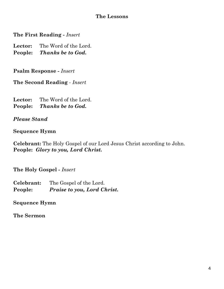#### **The Lessons**

**The First Reading -** *Insert*

**Lector:** The Word of the Lord. **People:** *Thanks be to God.*

**Psalm Response -** *Insert*

**The Second Reading** - *Insert* 

**Lector:** The Word of the Lord. **People:** *Thanks be to God.*

*Please Stand*

#### **Sequence Hymn**

**Celebrant:** The Holy Gospel of our Lord Jesus Christ according to John. **People:** *Glory to you, Lord Christ.*

**The Holy Gospel -** *Insert*

**Celebrant:** The Gospel of the Lord. **People:** *Praise to you, Lord Christ.*

**Sequence Hymn**

**The Sermon**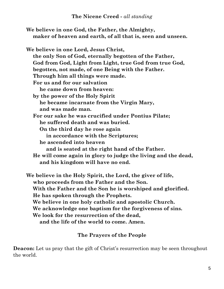#### **The Nicene Creed -** *all standing*

| We believe in one God, the Father, the Almighty,            |
|-------------------------------------------------------------|
| maker of heaven and earth, of all that is, seen and unseen. |

**We believe in one Lord, Jesus Christ, the only Son of God, eternally begotten of the Father, God from God, Light from Light, true God from true God, begotten, not made, of one Being with the Father. Through him all things were made. For us and for our salvation he came down from heaven: by the power of the Holy Spirit he became incarnate from the Virgin Mary, and was made man. For our sake he was crucified under Pontius Pilate; he suffered death and was buried. On the third day he rose again in accordance with the Scriptures; he ascended into heaven and is seated at the right hand of the Father. He will come again in glory to judge the living and the dead, and his kingdom will have no end.**

**We believe in the Holy Spirit, the Lord, the giver of life, who proceeds from the Father and the Son. With the Father and the Son he is worshiped and glorified. He has spoken through the Prophets. We believe in one holy catholic and apostolic Church. We acknowledge one baptism for the forgiveness of sins. We look for the resurrection of the dead, and the life of the world to come. Amen.**

### **The Prayers of the People**

**Deacon:** Let us pray that the gift of Christ's resurrection may be seen throughout the world.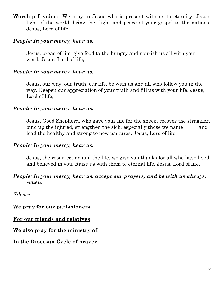**Worship Leader:**We pray to Jesus who is present with us to eternity. Jesus, light of the world, bring the light and peace of your gospel to the nations. Jesus, Lord of life,

#### *People: In your mercy, hear us.*

Jesus, bread of life, give food to the hungry and nourish us all with your word. Jesus, Lord of life,

#### *People: In your mercy, hear us.*

Jesus, our way, our truth, our life, be with us and all who follow you in the way. Deepen our appreciation of your truth and fill us with your life. Jesus, Lord of life,

#### *People: In your mercy, hear us.*

Jesus, Good Shepherd, who gave your life for the sheep, recover the straggler, bind up the injured, strengthen the sick, especially those we name and lead the healthy and strong to new pastures. Jesus, Lord of life,

#### *People: In your mercy, hear us.*

Jesus, the resurrection and the life, we give you thanks for all who have lived and believed in you. Raise us with them to eternal life. Jesus, Lord of life,

#### *People: In your mercy, hear us, accept our prayers, and be with us always. Amen.*

*Silence*

#### **We pray for our parishioners**

**For our friends and relatives**

#### **We also pray for the ministry of:**

#### **In the Diocesan Cycle of prayer**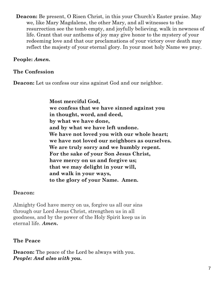**Deacon:** Be present, O Risen Christ, in this your Church's Easter praise. May we, like Mary Magdalene, the other Mary, and all witnesses to the resurrection see the tomb empty, and joyfully believing, walk in newness of life. Grant that our anthems of joy may give honor to the mystery of your redeeming love and that our proclamations of your victory over death may reflect the majesty of your eternal glory. In your most holy Name we pray.

## **People:** *Amen.*

## **The Confession**

**Deacon:** Let us confess our sins against God and our neighbor.

**Most merciful God, we confess that we have sinned against you in thought, word, and deed, by what we have done, and by what we have left undone. We have not loved you with our whole heart; we have not loved our neighbors as ourselves. We are truly sorry and we humbly repent. For the sake of your Son Jesus Christ, have mercy on us and forgive us; that we may delight in your will, and walk in your ways, to the glory of your Name. Amen.**

### **Deacon:**

Almighty God have mercy on us, forgive us all our sins through our Lord Jesus Christ, strengthen us in all goodness, and by the power of the Holy Spirit keep us in eternal life. *Amen.*

### **The Peace**

**Deacon:** The peace of the Lord be always with you. *People: And also with you.*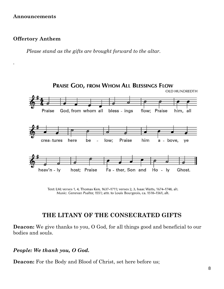#### **Announcements**

#### **Offertory Anthem**

*.* 

*Please stand as the gifts are brought forward to the altar.*



Text: LM; verses 1, 4, Thomas Ken, 1637-1711; verses 2, 3, Isaac Watts, 1674-1748, alt. Music: Genevan Psalter, 1551; attr. to Louis Bourgeois, ca. 1510-1561, alt.

## **THE LITANY OF THE CONSECRATED GIFTS**

**Deacon:** We give thanks to you, O God, for all things good and beneficial to our bodies and souls.

#### *People: We thank you, O God.*

**Deacon:** For the Body and Blood of Christ, set here before us;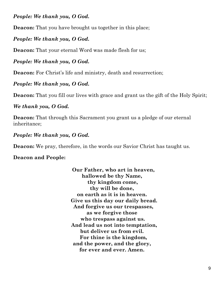#### *People: We thank you, O God.*

**Deacon:** That you have brought us together in this place;

#### *People: We thank you, O God.*

**Deacon:** That your eternal Word was made flesh for us;

#### *People: We thank you, O God.*

**Deacon:** For Christ's life and ministry, death and resurrection;

#### *People: We thank you, O God.*

**Deacon:** That you fill our lives with grace and grant us the gift of the Holy Spirit;

#### *We thank you, O God.*

**Deacon:** That through this Sacrament you grant us a pledge of our eternal inheritance;

#### *People: We thank you, O God.*

**Deacon:** We pray, therefore, in the words our Savior Christ has taught us.

#### **Deacon and People:**

 **Our Father, who art in heaven, hallowed be thy Name, thy kingdom come, thy will be done, on earth as it is in heaven. Give us this day our daily bread. And forgive us our trespasses, as we forgive those who trespass against us. And lead us not into temptation, but deliver us from evil. For thine is the kingdom, and the power, and the glory, for ever and ever. Amen.**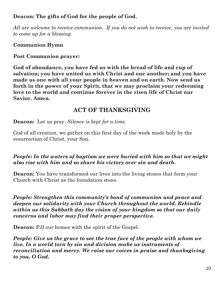## **Deacon: The gifts of God for the people of God.**

*All are welcome to receive communion. If you do not wish to receive, you are invited to come up for a blessing.*

## **Communion Hymn**

## **Post Communion prayer:**

**God of abundance, you have fed us with the bread of life and cup of salvation; you have united us with Christ and one another; and you have made us one with all your people in heaven and on earth. Now send us forth in the power of your Spirit, that we may proclaim your redeeming love to the world and continue forever in the risen life of Christ our Savior. Amen.**

## **ACT OF THANKSGIVING**

**Deacon:** Let us pray. *Silence is kept for a time.* 

God of all creation, we gather on this first day of the week made holy by the resurrection of Christ, your Son.

## *People: In the waters of baptism we were buried with him so that we might also rise with him and so share his victory over sin and death.*

**Deacon:** You have transformed our lives into the living stones that form your Church with Christ as the foundation stone.

*People: Strengthen this community's bond of communion and peace and deepen our solidarity with your Church throughout the world. Rekindle within us this Sabbath day the vision of your kingdom so that our daily concerns and labor may find their proper perspective.* 

**Deacon:** Fill our homes with the spirit of the Gospel.

*People: Give us the grace to see the true face of the people with whom we live. In a world torn by sin and division make us instruments of reconciliation and mercy. We raise our voices in praise and thanksgiving to you, O God.*